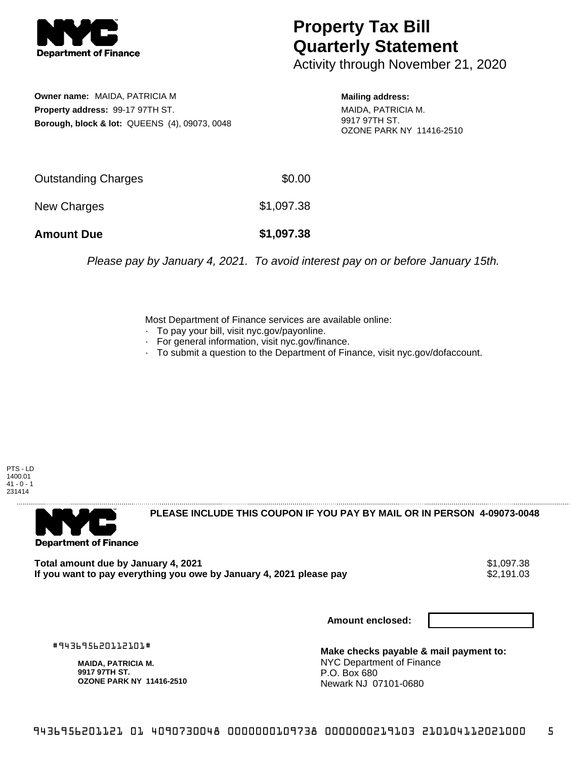

## **Property Tax Bill Quarterly Statement**

Activity through November 21, 2020

**Owner name:** MAIDA, PATRICIA M **Property address:** 99-17 97TH ST. **Borough, block & lot:** QUEENS (4), 09073, 0048

**Mailing address:** MAIDA, PATRICIA M. 9917 97TH ST. OZONE PARK NY 11416-2510

| <b>Amount Due</b>   | \$1,097.38 |
|---------------------|------------|
| New Charges         | \$1,097.38 |
| Outstanding Charges | \$0.00     |

Please pay by January 4, 2021. To avoid interest pay on or before January 15th.

Most Department of Finance services are available online:

- · To pay your bill, visit nyc.gov/payonline.
- For general information, visit nyc.gov/finance.
- · To submit a question to the Department of Finance, visit nyc.gov/dofaccount.

PTS - LD 1400.01  $41 - 0 - 1$ 231414



**PLEASE INCLUDE THIS COUPON IF YOU PAY BY MAIL OR IN PERSON 4-09073-0048** 

**Total amount due by January 4, 2021**<br>If you want to pay everything you owe by January 4, 2021 please pay **show that the set of the set of the set of** If you want to pay everything you owe by January 4, 2021 please pay

**Amount enclosed:**

#943695620112101#

**MAIDA, PATRICIA M. 9917 97TH ST. OZONE PARK NY 11416-2510**

**Make checks payable & mail payment to:** NYC Department of Finance P.O. Box 680 Newark NJ 07101-0680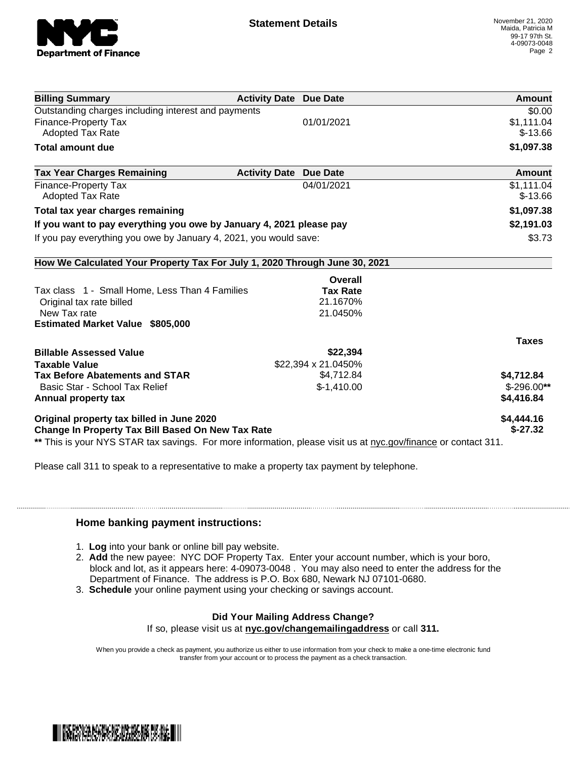

| <b>Billing Summary</b>                                                     | <b>Activity Date Due Date</b>           | Amount        |
|----------------------------------------------------------------------------|-----------------------------------------|---------------|
| Outstanding charges including interest and payments                        |                                         | \$0.00        |
| Finance-Property Tax                                                       | 01/01/2021                              | \$1,111.04    |
| <b>Adopted Tax Rate</b>                                                    |                                         | $$-13.66$     |
| <b>Total amount due</b>                                                    |                                         | \$1,097.38    |
| <b>Tax Year Charges Remaining</b>                                          | <b>Activity Date</b><br><b>Due Date</b> | <b>Amount</b> |
| Finance-Property Tax                                                       | 04/01/2021                              | \$1,111.04    |
| <b>Adopted Tax Rate</b>                                                    |                                         | $$-13.66$     |
| Total tax year charges remaining                                           |                                         | \$1,097.38    |
| If you want to pay everything you owe by January 4, 2021 please pay        |                                         | \$2,191.03    |
| If you pay everything you owe by January 4, 2021, you would save:          |                                         | \$3.73        |
| How We Calculated Your Property Tax For July 1, 2020 Through June 30, 2021 |                                         |               |
|                                                                            | Overall                                 |               |
| Tax class 1 - Small Home, Less Than 4 Families                             | <b>Tax Rate</b>                         |               |
| Original tax rate billed                                                   | 21.1670%                                |               |
| New Tax rate                                                               | 21.0450%                                |               |
| <b>Estimated Market Value \$805,000</b>                                    |                                         |               |
|                                                                            |                                         | <b>Taxes</b>  |
| <b>Billable Assessed Value</b>                                             | \$22,394                                |               |
| <b>Taxable Value</b>                                                       | \$22,394 x 21.0450%                     |               |
| <b>Tax Before Abatements and STAR</b>                                      | \$4,712.84                              | \$4,712.84    |
| Basic Star - School Tax Relief                                             | $$-1,410.00$                            | $$-296.00**$  |
| Annual property tax                                                        |                                         | \$4,416.84    |
| Original property tax billed in June 2020                                  |                                         | \$4,444.16    |
| <b>Change In Property Tax Bill Based On New Tax Rate</b>                   |                                         | $$-27.32$     |

Please call 311 to speak to a representative to make a property tax payment by telephone.

## **Home banking payment instructions:**

- 1. **Log** into your bank or online bill pay website.
- 2. **Add** the new payee: NYC DOF Property Tax. Enter your account number, which is your boro, block and lot, as it appears here: 4-09073-0048 . You may also need to enter the address for the Department of Finance. The address is P.O. Box 680, Newark NJ 07101-0680.
- 3. **Schedule** your online payment using your checking or savings account.

## **Did Your Mailing Address Change?**

If so, please visit us at **nyc.gov/changemailingaddress** or call **311.**

When you provide a check as payment, you authorize us either to use information from your check to make a one-time electronic fund transfer from your account or to process the payment as a check transaction.